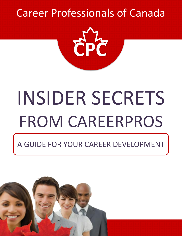# [Career Professionals of Canada](https://careerprocanada.ca/)



# INSIDER SECRETS FROM CAREERPROS

### A GUIDE FOR YOUR CAREER DEVELOPMENT

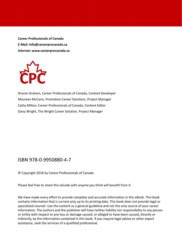**Career Professionals of Canada E-Mail: info@careerprocanada.ca Internet: www.careerprocanada.ca**



Sharon Graham, Career Professionals of Canada, Content Developer Maureen McCann, Promotion Career Solutions, Project Manager Cathy Milton, Career Professionals of Canada, Content Editor Daisy Wright, The Wright Career Solution, Project Manager

#### ISBN 978-0-9950880-4-7

© Copyright 2018 by Career Professionals of Canada

Please feel free to share this eGuide with anyone you think will benefit from it.

We have made every effort to provide complete and accurate information in this eBook. This book contains information that is current only up to its printing date. This book does not provide legal or specialized counsel. Use the content as a general guideline and not the only source of your career information. The authors and the publisher will have neither liability nor responsibility to any person or entity with respect to any loss or damage caused, or alleged to have been caused, directly or indirectly, by the information contained in this book. If you require legal advice or other expert assistance, seek the services of a qualified professional.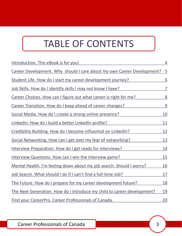### TABLE OF CONTENTS

| Introduction. This eBook is for you!                                     | 4          |
|--------------------------------------------------------------------------|------------|
| Career Development. Why should I care about my own Career Development? 5 |            |
| Student Life. How do I start my career development journey?              | 6          |
| Job Skills. How do I identify skills I may not know I have?              | 7          |
| Career Choices. How can I figure out what career is right for me?        | 8          |
| Career Transition. How do I keep ahead of career changes?                | 9          |
| Social Media. How do I create a strong online presence?                  | <u>10</u>  |
| LinkedIn. How do I build a better LinkedIn profile?                      | 11         |
| Credibility Building. How do I become influential on LinkedIn?           | 12         |
| Social Networking. How can I get over my fear of networking?             | <u>13</u>  |
| Interview Preparation. How do I get ready for interviews?                | <u>14</u>  |
| Interview Questions. How can I win the interview game?                   | 15         |
| Mental Health. I'm feeling down about my job search. Should I worry?     | <u>16</u>  |
| Job Search. What should I do if I can't find a full-time Job?            | <u>17</u>  |
| The Future. How do I prepare for my career development future?           | <u>18</u>  |
| The Next Generation. How do I introduce my child to career development?  | <u> 19</u> |
| <b>Find your CareerPro. Career Professionals of Canada.</b>              | 20         |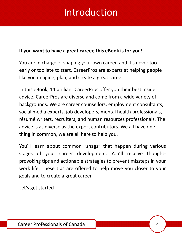### Introduction

#### <span id="page-3-0"></span>**If you want to have a great career, this eBook is for you!**

You are in charge of shaping your own career, and it's never too early or too late to start. CareerPros are experts at helping people like you imagine, plan, and create a great career!

In this eBook, 14 brilliant CareerPros offer you their best insider advice. CareerPros are diverse and come from a wide variety of backgrounds. We are career counsellors, employment consultants, social media experts, job developers, mental health professionals, résumé writers, recruiters, and human resources professionals. The advice is as diverse as the expert contributors. We all have one thing in common, we are all here to help you.

You'll learn about common "snags" that happen during various stages of your career development. You'll receive thoughtprovoking tips and actionable strategies to prevent missteps in your work life. These tips are offered to help move you closer to your goals and to create a great career.

Let's get started!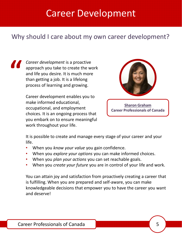### Career Development

#### <span id="page-4-0"></span>Why should I care about my own career development?

*Career development* is a proactive approach you take to create the work and life you desire. It is much more than getting a job. It is a lifelong process of learning and growing. **"**

> Career development enables you to make informed educational, occupational, and employment choices. It is an ongoing process that you embark on to ensure meaningful work throughout your life.



**[Sharon Graham](https://careerprocanada.org/Sys/PublicProfile/3292287/796355) Career Professionals of Canada**

It is possible to create and manage every stage of your career and your life.

- When you *know your value* you gain confidence.
- When you *explore your options* you can make informed choices.
- When you *plan your actions* you can set reachable goals.
- When you *create your future* you are in control of your life and work.

You can attain joy and satisfaction from proactively creating a career that is fulfilling. When you are prepared and self-aware, you can make knowledgeable decisions that empower you to have the career you want and deserve!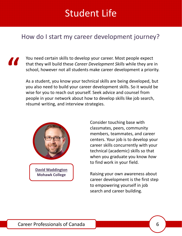### Student Life

#### <span id="page-5-0"></span>How do I start my career development journey?

You need certain skills to develop your career. Most people expect that they will build these *Career Development Skills* while they are in school, however not all students make career development a priority.

As a student, you know your technical skills are being developed, but you also need to build your career development skills. So it would be wise for you to reach out yourself. Seek advice and counsel from people in your network about how to develop skills like job search, résumé writing, and interview strategies.



**"**

Consider touching base with classmates, peers, community members, teammates, and career centers. Your job is to develop your career skills concurrently with your technical (academic) skills so that when you graduate you know *how* to find work in your field.

Raising your own awareness about career development is the first step to empowering yourself in job search and career building.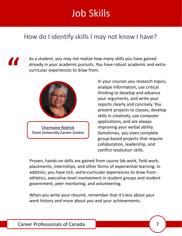# Job Skills

#### <span id="page-6-0"></span>How do I identify skills I may not know I have?

**"**

As a student, you may not realize how many skills you have gained already in your academic pursuits. You have robust academic and extracurricular experiences to draw from.



In your courses you research topics, analyze information, use critical thinking to develop and advance your arguments, and write your reports clearly and concisely. You present projects to classes, develop skills in creativity, use computer applications, and are always improving your verbal ability. Sometimes, you even complete group-based projects that require collaboration, leadership, and conflict resolution skills.

Proven, hands-on skills are gained from *course* lab work, field work, placements, internships, and other forms of experiential learning. In addition, you have rich, *extra-curricular* experiences to draw from athletics, executive-level involvement in student groups and student government, peer mentoring, and volunteering.

When you write your résumé, remember that it's less about your work history and more about you and your achievements.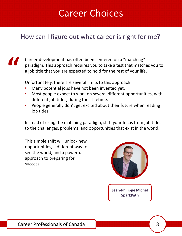### Career Choices

#### <span id="page-7-0"></span>How can I figure out what career is right for me?

### **"**

Career development has often been centered on a "matching" paradigm. This approach requires you to take a test that matches you to a job title that you are expected to hold for the rest of your life.

Unfortunately, there are several limits to this approach:

- Many potential jobs have not been invented yet.
- Most people expect to work on several different opportunities, with different job titles, during their lifetime.
- People generally don't get excited about their future when reading job titles.

Instead of using the matching paradigm, shift your focus from job titles to the challenges, problems, and opportunities that exist in the world.

This simple shift will unlock new opportunities, a different way to see the world, and a powerful approach to preparing for success.



**[Jean-Philippe Michel](https://careerprocanada.org/Sys/PublicProfile/31567491/796355) SparkPath**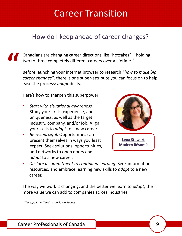### Career Transition

#### <span id="page-8-0"></span>How do I keep ahead of career changes?

**"** Canadians are changing career directions like "hotcakes" – holding two to three completely different careers over a lifetime. \*

Before launching your internet browser to research "*how to make big career changes"*, there is one super-attribute you can focus on to help ease the process: *adapt*ability.

Here's how to sharpen this superpower:

- *Start with situational awareness.*  Study your skills, experience, and uniqueness, as well as the target industry, company, and/or job. Align your skills to *adapt* to a new career.
- *Be resourceful.* Opportunities can present themselves in ways you least expect. Seek solutions, opportunities, and networks to open doors and *adapt* to a new career.



• *Declare a commitment to continued learning*. Seek information, resources, and embrace learning new skills to *adapt* to a new career.

The way we work is changing, and the better we learn to *adapt*, the more value we can add to companies across industries.

\* *Thinkopolis IV: 'Time' to Work, Workopolis*

[Career Professionals of Canada](https://careerprocanada.ca/) 9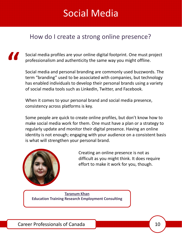### Social Media

#### <span id="page-9-0"></span>How do I create a strong online presence?

Social media profiles are your online digital footprint. One must project professionalism and authenticity the same way you might offline.

Social media and personal branding are commonly used buzzwords. The term "branding" used to be associated with companies, but technology has enabled individuals to develop their personal brands using a variety of social media tools such as LinkedIn, Twitter, and Facebook.

When it comes to your personal brand and social media presence, consistency across platforms is key.

Some people are quick to create online profiles, but don't know how to make social media work for them. One must have a plan or a strategy to regularly update and monitor their digital presence. Having an online identity is not enough; engaging with your audience on a consistent basis is what will strengthen your personal brand.



**"**

Creating an online presence is not as difficult as you might think. It does require effort to make it work for you, though.

**[Taranum Khan](https://careerprocanada.org/Sys/PublicProfile/26590696/796355) Education Training Research Employment Consulting**

[Career Professionals of Canada](https://careerprocanada.ca/) 10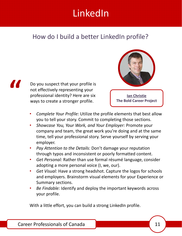# LinkedIn

#### <span id="page-10-0"></span>How do I build a better LinkedIn profile?



Do you suspect that your profile is not effectively representing your professional identity? Here are six ways to create a stronger profile.



- *Complete Your Profile:* Utilize the profile elements that best allow you to tell your story. Commit to completing those sections.
- *Showcase You, Your Work, and Your Employer:* Promote your company and team, the great work you're doing and at the same time, tell your professional story. Serve yourself by serving your employer.
- *Pay Attention to the Details:* Don't damage your reputation through typos and inconsistent or poorly formatted content.
- *Get Personal:* Rather than use formal résumé language, consider adopting a more personal voice (I, we, our).
- *Get Visual:* Have a strong headshot. Capture the logos for schools and employers. Brainstorm visual elements for your Experience or Summary sections.
- *Be Findable:* Identify and deploy the important keywords across your profile.

With a little effort, you can build a strong LinkedIn profile.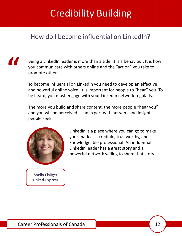# Credibility Building

### <span id="page-11-0"></span>How do I become influential on LinkedIn?

**"**

Being a LinkedIn leader is more than a title; it is a behaviour. It is how you communicate with others online and the "action" you take to promote others.

To become influential on LinkedIn you need to develop an effective and powerful online voice. It is important for people to "hear" you. To be heard, you must engage with your LinkedIn network regularly.

The more you build and share content, the more people "hear you" and you will be perceived as an expert with answers and insights people seek.



**[Shelly Elsliger](https://careerprocanada.org/Sys/PublicProfile/43622282/796355) Linked-Express**

LinkedIn is a place where you can go to make your mark as a credible, trustworthy, and knowledgeable professional. An influential LinkedIn leader has a great story and a powerful network willing to share that story.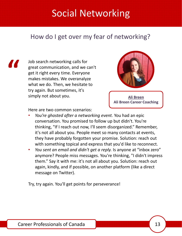### Social Networking

#### <span id="page-12-0"></span>How do I get over my fear of networking?

**"**

Job search networking calls for great communication, and we can't get it right every time. Everyone makes mistakes. We overanalyze what we do. Then, we hesitate to try again. But sometimes, it's simply not about you.



**[Ali Breen](https://careerprocanada.org/Sys/PublicProfile/43432990/796355) Ali Breen Career Coaching**

Here are two common scenarios:

- *You're ghosted after a networking event.* You had an epic conversation. You promised to follow up but didn't. You're thinking, "If I reach out now, I'll seem disorganized." Remember, it's not all about you. People meet so many contacts at events, they have probably forgotten your promise. Solution: reach out with something topical and express that you'd like to reconnect.
- *You sent an email and didn't get a reply.* Is anyone at "inbox zero" anymore? People miss messages. You're thinking, "I didn't impress them." Say it with me: it's not all about you. Solution: reach out again, kindly, and if possible, on another platform (like a direct message on Twitter).

Try, try again. You'll get points for perseverance!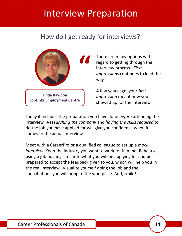### <span id="page-13-0"></span>Interview Preparation

#### How do I get ready for interviews?



There are many options with regard to getting through the interview process. *First impressions* continues to lead the way.

A few years ago, your *first impression* meant how you showed up for the interview.

Today it includes the preparation you have done *before* attending the interview. *Researching the company* and *having the skills required* to do the job you have applied for will give you confidence when it comes to the actual interview.

Meet with a CareerPro or a qualified colleague to set up a *mock interview.* Keep the industry you want to work for in mind. Rehearse using a job posting similar to what you will be applying for and be prepared to accept the feedback given to you, which will help you in the real interview. Visualize yourself doing the job and the contributions you will bring to the workplace. And, smile!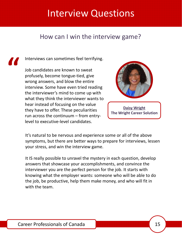### <span id="page-14-0"></span>Interview Questions

#### How can I win the interview game?

#### Interviews can sometimes feel terrifying.

**"**

Job candidates are known to sweat profusely, become tongue-tied, give wrong answers, and blow the entire interview. Some have even tried reading the interviewer's mind to come up with what they think the interviewer wants to hear instead of focusing on the value they have to offer. These peculiarities run across the continuum – from entrylevel to executive-level candidates.



**[Daisy Wright](https://careerprocanada.org/Sys/PublicProfile/3354473/796355) The Wright Career Solution**

It's natural to be nervous and experience some or all of the above symptoms, but there are better ways to prepare for interviews, lessen your stress, and win the interview game.

It IS really possible to unravel the mystery in each question, develop answers that showcase your accomplishments, and convince the interviewer you are the perfect person for the job. It starts with knowing what the employer wants: someone who will be able to do the job, be productive, help them make money, and who will fit in with the team.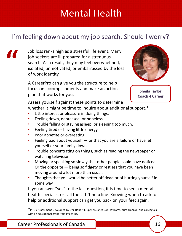### Mental Health

### <span id="page-15-0"></span>I'm feeling down about my job search. Should I worry?

Job loss ranks high as a stressful life event. Many job seekers are ill-prepared for a strenuous search. As a result, they may feel overwhelmed, isolated, unmotivated, or embarrassed by the loss of work identity.

A CareerPro can give you the structure to help focus on accomplishments and make an action plan that works for you.



**[Sheila Taylor](https://careerprocanada.org/Sys/PublicProfile/30285828/796355) Coach 4 Career**

Assess yourself against these points to determine

whether it might be time to inquire about additional support.<sup>\*</sup>

- Little interest or pleasure in doing things.
- Feeling down, depressed, or hopeless.
- Trouble falling or staying asleep, or sleeping too much.
- Feeling tired or having little energy.
- Poor appetite or overeating.

**"**

- Feeling bad about yourself  $-$  or that you are a failure or have let yourself or your family down.
- Trouble concentrating on things, such as reading the newspaper or watching television.
- Moving or speaking so slowly that other people could have noticed. Or the opposite — being so fidgety or restless that you have been moving around a lot more than usual.
- Thoughts that you would be better off dead or of hurting yourself in some way.

If you answer "yes" to the last question, it is time to see a mental health specialist or call the 2-1-1 help line. Knowing when to ask for help or additional support can get you back on your feet again.

\*PHQ9 Assessment Developed by Drs. Robert L. Spitzer, Janet B.W. Williams, Kurt Kroenke, and colleagues, with an educational grant from Pfizer Inc.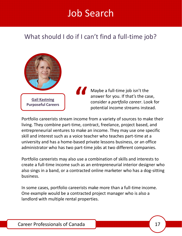### Job Search

### <span id="page-16-0"></span>What should I do if I can't find a full-time job?



Maybe a full-time job isn't the answer for you. If that's the case, consider a *portfolio career*. Look for potential income streams instead.

Portfolio careerists stream income from a variety of sources to make their living. They combine part-time, contract, freelance, project based, and entrepreneurial ventures to make an income. They may use one specific skill and interest such as a voice teacher who teaches part-time at a university and has a home-based private lessons business, or an office administrator who has two part-time jobs at two different companies.

**"**

Portfolio careerists may also use a combination of skills and interests to create a full-time income such as an entrepreneurial interior designer who also sings in a band, or a contracted online marketer who has a dog-sitting business.

In some cases, portfolio careerists make more than a full-time income. One example would be a contracted project manager who is also a landlord with multiple rental properties.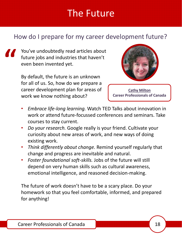### The Future

### <span id="page-17-0"></span>How do I prepare for my career development future?

You've undoubtedly read articles about future jobs and industries that haven't even been invented yet. **"**

By default, the future is an unknown for all of us. So, how do we prepare a career development plan for areas of work we know nothing about?



**[Cathy Milton](https://careerprocanada.org/Sys/PublicProfile/3619917/796355) Career Professionals of Canada**

- *Embrace life-long learning.* Watch TED Talks about innovation in work or attend future-focussed conferences and seminars. Take courses to stay current.
- *Do your research.* Google really is your friend. Cultivate your curiosity about new areas of work, and new ways of doing existing work.
- *Think differently about change.* Remind yourself regularly that change and progress are inevitable and natural.
- *Foster foundational soft-skills.* Jobs of the future will still depend on very human skills such as cultural awareness, emotional intelligence, and reasoned decision-making.

The future of work doesn't have to be a scary place. Do your homework so that you feel comfortable, informed, and prepared for anything!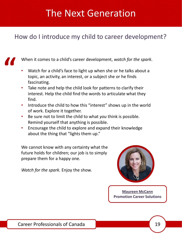### The Next Generation

### <span id="page-18-0"></span>How do I introduce my child to career development?

When it comes to a child's career development, *watch for the spark*. **"**

- Watch for a child's face to light up when she or he talks about a topic, an activity, an interest, or a subject she or he finds fascinating.
- Take note and help the child look for patterns to clarify their interest. Help the child find the words to articulate what they find.
- Introduce the child to how this "interest" shows up in the world of work. Explore it together.
- Be sure not to limit the child to what *you* think is possible. Remind yourself that anything is possible.
- Encourage the child to explore and expand their knowledge about the thing that "lights them up."

We cannot know with any certainty what the future holds for children; our job is to simply prepare them for a happy one.

*Watch for the spark.* Enjoy the show.



**[Maureen McCann](https://careerprocanada.org/Sys/PublicProfile/3362299/796355) Promotion Career Solutions**